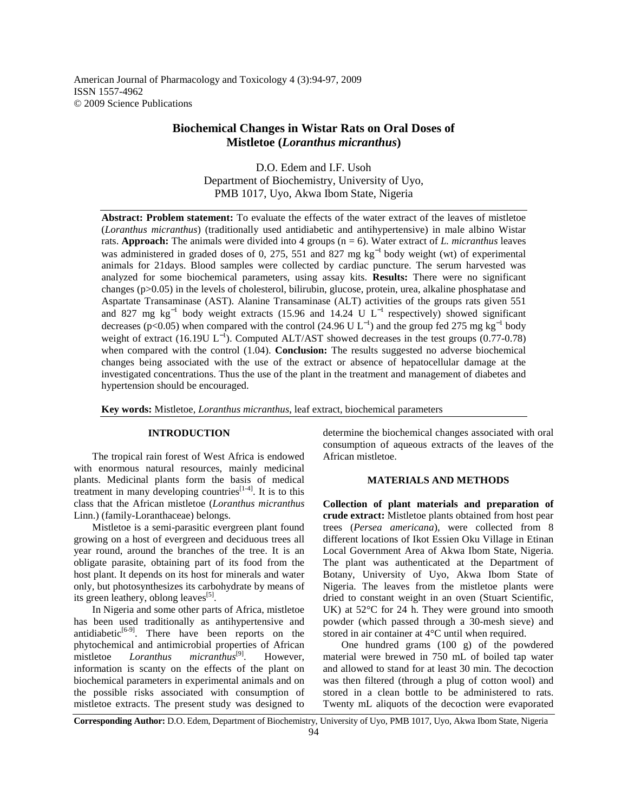American Journal of Pharmacology and Toxicology 4 (3):94-97, 2009 ISSN 1557-4962 © 2009 Science Publications

# **Biochemical Changes in Wistar Rats on Oral Doses of Mistletoe (***Loranthus micranthus***)**

D.O. Edem and I.F. Usoh Department of Biochemistry, University of Uyo, PMB 1017, Uyo, Akwa Ibom State, Nigeria

**Abstract: Problem statement:** To evaluate the effects of the water extract of the leaves of mistletoe (*Loranthus micranthus*) (traditionally used antidiabetic and antihypertensive) in male albino Wistar rats. **Approach:** The animals were divided into 4 groups (n = 6). Water extract of *L. micranthus* leaves was administered in graded doses of 0, 275, 551 and 827 mg kg<sup>-1</sup> body weight (wt) of experimental animals for 21days. Blood samples were collected by cardiac puncture. The serum harvested was analyzed for some biochemical parameters, using assay kits. **Results:** There were no significant changes (p>0.05) in the levels of cholesterol, bilirubin, glucose, protein, urea, alkaline phosphatase and Aspartate Transaminase (AST). Alanine Transaminase (ALT) activities of the groups rats given 551 and 827 mg kg<sup>-1</sup> body weight extracts (15.96 and 14.24 U  $L^{-1}$  respectively) showed significant decreases (p<0.05) when compared with the control (24.96 U L<sup>-1</sup>) and the group fed 275 mg kg<sup>-1</sup> body weight of extract (16.19U  $L^{-1}$ ). Computed ALT/AST showed decreases in the test groups (0.77-0.78) when compared with the control (1.04). **Conclusion:** The results suggested no adverse biochemical changes being associated with the use of the extract or absence of hepatocellular damage at the investigated concentrations. Thus the use of the plant in the treatment and management of diabetes and hypertension should be encouraged.

**Key words:** Mistletoe, *Loranthus micranthus*, leaf extract, biochemical parameters

# **INTRODUCTION**

 The tropical rain forest of West Africa is endowed with enormous natural resources, mainly medicinal plants. Medicinal plants form the basis of medical treatment in many developing countries $[1-4]$ . It is to this class that the African mistletoe (*Loranthus micranthus* Linn.) (family-Loranthaceae) belongs.

 Mistletoe is a semi-parasitic evergreen plant found growing on a host of evergreen and deciduous trees all year round, around the branches of the tree. It is an obligate parasite, obtaining part of its food from the host plant. It depends on its host for minerals and water only, but photosynthesizes its carbohydrate by means of its green leathery, oblong leaves<sup>[5]</sup>.

 In Nigeria and some other parts of Africa, mistletoe has been used traditionally as antihypertensive and antidiabetic<sup>[6-9]</sup>. There have been reports on the phytochemical and antimicrobial properties of African mistletoe *Loranthus micranthus*[9]. However, information is scanty on the effects of the plant on biochemical parameters in experimental animals and on the possible risks associated with consumption of mistletoe extracts. The present study was designed to determine the biochemical changes associated with oral consumption of aqueous extracts of the leaves of the African mistletoe.

## **MATERIALS AND METHODS**

**Collection of plant materials and preparation of crude extract:** Mistletoe plants obtained from host pear trees (*Persea americana*), were collected from 8 different locations of Ikot Essien Oku Village in Etinan Local Government Area of Akwa Ibom State, Nigeria. The plant was authenticated at the Department of Botany, University of Uyo, Akwa Ibom State of Nigeria. The leaves from the mistletoe plants were dried to constant weight in an oven (Stuart Scientific, UK) at 52°C for 24 h. They were ground into smooth powder (which passed through a 30-mesh sieve) and stored in air container at 4°C until when required.

 One hundred grams (100 g) of the powdered material were brewed in 750 mL of boiled tap water and allowed to stand for at least 30 min. The decoction was then filtered (through a plug of cotton wool) and stored in a clean bottle to be administered to rats. Twenty mL aliquots of the decoction were evaporated

**Corresponding Author:** D.O. Edem, Department of Biochemistry, University of Uyo, PMB 1017, Uyo, Akwa Ibom State, Nigeria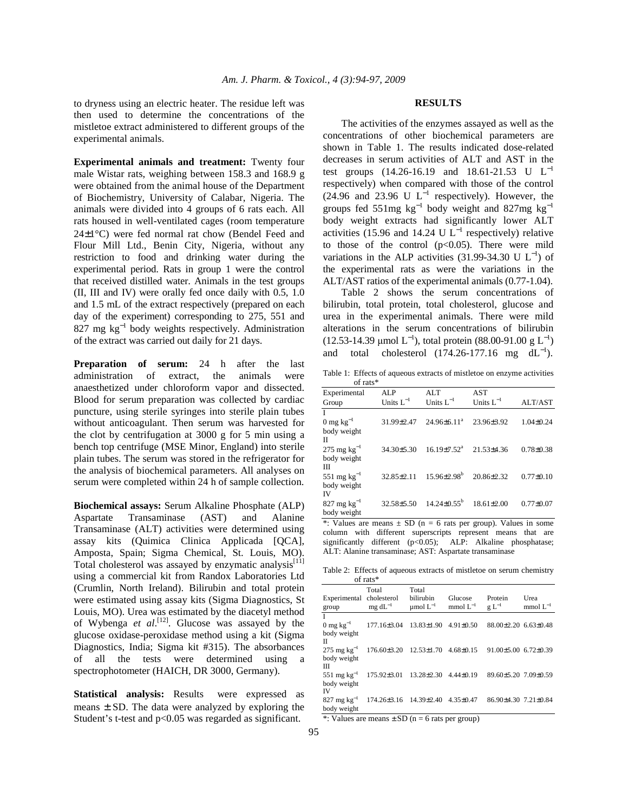to dryness using an electric heater. The residue left was then used to determine the concentrations of the mistletoe extract administered to different groups of the experimental animals.

**Experimental animals and treatment:** Twenty four male Wistar rats, weighing between 158.3 and 168.9 g were obtained from the animal house of the Department of Biochemistry, University of Calabar, Nigeria. The animals were divided into 4 groups of 6 rats each. All rats housed in well-ventilated cages (room temperature 24±1°C) were fed normal rat chow (Bendel Feed and Flour Mill Ltd., Benin City, Nigeria, without any restriction to food and drinking water during the experimental period. Rats in group 1 were the control that received distilled water. Animals in the test groups (II, III and IV) were orally fed once daily with 0.5, 1.0 and 1.5 mL of the extract respectively (prepared on each day of the experiment) corresponding to 275, 551 and 827 mg kg<sup>-1</sup> body weights respectively. Administration of the extract was carried out daily for 21 days.

**Preparation of serum:** 24 h after the last administration of extract, the animals were anaesthetized under chloroform vapor and dissected. Blood for serum preparation was collected by cardiac puncture, using sterile syringes into sterile plain tubes without anticoagulant. Then serum was harvested for the clot by centrifugation at 3000 g for 5 min using a bench top centrifuge (MSE Minor, England) into sterile plain tubes. The serum was stored in the refrigerator for the analysis of biochemical parameters. All analyses on serum were completed within 24 h of sample collection.

**Biochemical assays:** Serum Alkaline Phosphate (ALP) Aspartate Transaminase (AST) and Alanine Transaminase (ALT) activities were determined using assay kits (Quimica Clinica Applicada [QCA], Amposta, Spain; Sigma Chemical, St. Louis, MO). Total cholesterol was assayed by enzymatic analysis<sup>[11]</sup> using a commercial kit from Randox Laboratories Ltd (Crumlin, North Ireland). Bilirubin and total protein were estimated using assay kits (Sigma Diagnostics, St Louis, MO). Urea was estimated by the diacetyl method of Wybenga *et al*. [12]. Glucose was assayed by the glucose oxidase-peroxidase method using a kit (Sigma Diagnostics, India; Sigma kit #315). The absorbances of all the tests were determined using a spectrophotometer (HAICH, DR 3000, Germany).

**Statistical analysis:** Results were expressed as means  $\pm$  SD. The data were analyzed by exploring the Student's t-test and p<0.05 was regarded as significant.

## **RESULTS**

 The activities of the enzymes assayed as well as the concentrations of other biochemical parameters are shown in Table 1. The results indicated dose-related decreases in serum activities of ALT and AST in the test groups  $(14.26-16.19 \text{ and } 18.61-21.53 \text{ U } L^{-1}$ respectively) when compared with those of the control  $(24.96 \text{ and } 23.96 \text{ U L}^{-1} \text{ respectively})$ . However, the groups fed 551mg  $kg^{-1}$  body weight and 827mg  $kg^{-1}$ body weight extracts had significantly lower ALT activities (15.96 and 14.24 U  $L^{-1}$  respectively) relative to those of the control  $(p<0.05)$ . There were mild variations in the ALP activities  $(31.99-34.30 \text{ U L}^{-1})$  of the experimental rats as were the variations in the ALT/AST ratios of the experimental animals (0.77-1.04).

 Table 2 shows the serum concentrations of bilirubin, total protein, total cholesterol, glucose and urea in the experimental animals. There were mild alterations in the serum concentrations of bilirubin (12.53-14.39 µmol L<sup>-1</sup>), total protein (88.00-91.00 g L<sup>-1</sup>) and total cholesterol  $(174.26-177.16 \text{ mg } dL^{-1})$ .

Table 1: Effects of aqueous extracts of mistletoe on enzyme activities of rats\*

| Experimental<br>Group                         | ALP<br>Units $L^{-1}$ | ALT<br>Units $L^{-1}$         | <b>AST</b><br>Units $L^{-1}$ | ALT/AST         |
|-----------------------------------------------|-----------------------|-------------------------------|------------------------------|-----------------|
| $0 \text{ mg kg}^{-1}$<br>body weight         | 31.99±2.47            | $24.96\pm6.11^a$              | 23.96±3.92                   | $1.04 \pm 0.24$ |
| П<br>275 mg kg $^{-1}$<br>body weight         | $34.30 \pm 5.30$      | $16.19 \pm 7.52$ <sup>a</sup> | $21.53 + 4.36$               | $0.78 \pm 0.38$ |
| ш<br>551 mg $kg^{-1}$<br>body weight          | 32.85±2.11            | $15.96\pm2.98^{\rm b}$        | $20.86 + 2.32$               | $0.77 \pm 0.10$ |
| IV<br>$827 \text{ mg kg}^{-1}$<br>body weight | 32.58±5.50            | $14.24 \pm 0.55^{\mathrm{b}}$ | $18.61 \pm 2.00$             | $0.77 \pm 0.07$ |

\*: Values are means  $\pm$  SD (n = 6 rats per group). Values in some column with different superscripts represent means that are significantly different (p<0.05); ALP: Alkaline phosphatase; ALT: Alanine transaminase; AST: Aspartate transaminase

Table 2: Effects of aqueous extracts of mistletoe on serum chemistry of rats\*

| Experimental cholesterol<br>group                                                         | Total<br>$mg \, dL^{-1}$                                              | Total<br>bilirubin | Glucose<br>$\mu$ mol $L^{-1}$ mmol $L^{-1}$ g $L^{-1}$ | Protein                          | Urea<br>mmol $L^{-1}$ |
|-------------------------------------------------------------------------------------------|-----------------------------------------------------------------------|--------------------|--------------------------------------------------------|----------------------------------|-----------------------|
| $\overline{I}$<br>body weight<br>П                                                        | 0 mg kg <sup>-1</sup> 177.16±3.04 13.83±1.90 4.91±0.50                |                    |                                                        | $88.00 \pm 2.20$ 6.63 $\pm 0.48$ |                       |
| $275 \text{ mg kg}^{-1}$ $176.60\pm3.20$ $12.53\pm1.70$ $4.68\pm0.15$<br>body weight<br>Ш |                                                                       |                    |                                                        | $91.00\pm5.00$ 6.72 $\pm0.39$    |                       |
| body weight<br>IV                                                                         | $551 \text{ mg kg}^{-1}$ $175.92\pm3.01$ $13.28\pm2.30$ $4.44\pm0.19$ |                    |                                                        | 89.60±5.20 7.09±0.59             |                       |
| body weight<br>$\cdots$ $\cdots$ $\cdots$                                                 | $827 \text{ mg kg}^{-1}$ 174.26±3.16 14.39±2.40 4.35±0.47             |                    |                                                        | 86.90±4.30 7.21±0.84             |                       |

\*: Values are means  $\pm$  SD (n = 6 rats per group)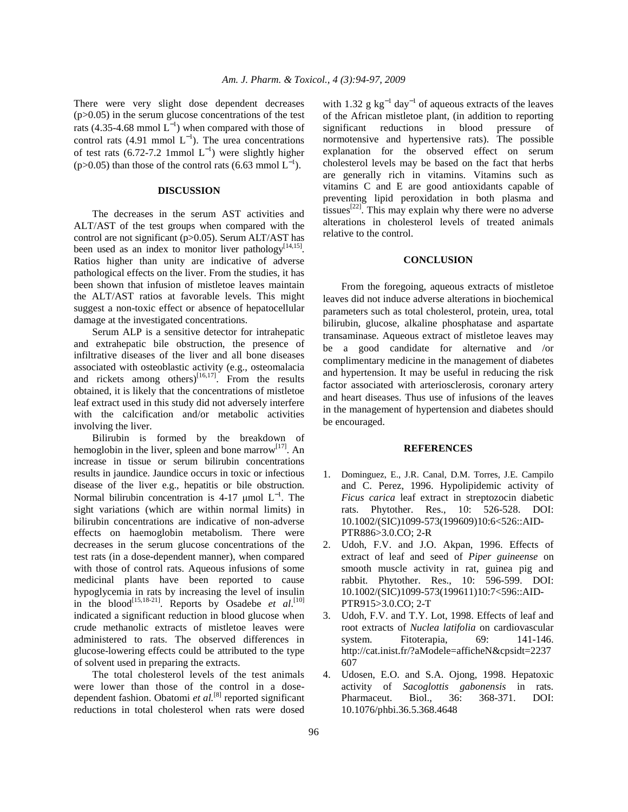There were very slight dose dependent decreases (p>0.05) in the serum glucose concentrations of the test rats (4.35-4.68 mmol  $L^{-1}$ ) when compared with those of control rats (4.91 mmol  $L^{-1}$ ). The urea concentrations of test rats (6.72-7.2 1mmol  $L^{-1}$ ) were slightly higher (p>0.05) than those of the control rats (6.63 mmol  $L^{-1}$ ).

### **DISCUSSION**

 The decreases in the serum AST activities and ALT/AST of the test groups when compared with the control are not significant (p>0.05). Serum ALT/AST has been used as an index to monitor liver pathology<sup>[14,15]</sup>. Ratios higher than unity are indicative of adverse pathological effects on the liver. From the studies, it has been shown that infusion of mistletoe leaves maintain the ALT/AST ratios at favorable levels. This might suggest a non-toxic effect or absence of hepatocellular damage at the investigated concentrations.

 Serum ALP is a sensitive detector for intrahepatic and extrahepatic bile obstruction, the presence of infiltrative diseases of the liver and all bone diseases associated with osteoblastic activity (e.g., osteomalacia and rickets among others) $[16,17]$ . From the results obtained, it is likely that the concentrations of mistletoe leaf extract used in this study did not adversely interfere with the calcification and/or metabolic activities involving the liver.

 Bilirubin is formed by the breakdown of hemoglobin in the liver, spleen and bone marrow $[17]$ . An increase in tissue or serum bilirubin concentrations results in jaundice. Jaundice occurs in toxic or infectious disease of the liver e.g., hepatitis or bile obstruction. Normal bilirubin concentration is 4-17 µmol  $L^{-1}$ . The sight variations (which are within normal limits) in bilirubin concentrations are indicative of non-adverse effects on haemoglobin metabolism. There were decreases in the serum glucose concentrations of the test rats (in a dose-dependent manner), when compared with those of control rats. Aqueous infusions of some medicinal plants have been reported to cause hypoglycemia in rats by increasing the level of insulin in the blood<sup>[15,18-21]</sup>. Reports by Osadebe *et al.*<sup>[10]</sup> indicated a significant reduction in blood glucose when crude methanolic extracts of mistletoe leaves were administered to rats. The observed differences in glucose-lowering effects could be attributed to the type of solvent used in preparing the extracts.

 The total cholesterol levels of the test animals were lower than those of the control in a dosedependent fashion. Obatomi *et al.*[8] reported significant reductions in total cholesterol when rats were dosed

with 1.32 g  $kg^{-1}$  day<sup>-1</sup> of aqueous extracts of the leaves of the African mistletoe plant, (in addition to reporting significant reductions in blood pressure of normotensive and hypertensive rats). The possible explanation for the observed effect on serum cholesterol levels may be based on the fact that herbs are generally rich in vitamins. Vitamins such as vitamins C and E are good antioxidants capable of preventing lipid peroxidation in both plasma and tissues<sup>[22]</sup>. This may explain why there were no adverse alterations in cholesterol levels of treated animals relative to the control.

# **CONCLUSION**

 From the foregoing, aqueous extracts of mistletoe leaves did not induce adverse alterations in biochemical parameters such as total cholesterol, protein, urea, total bilirubin, glucose, alkaline phosphatase and aspartate transaminase. Aqueous extract of mistletoe leaves may be a good candidate for alternative and /or complimentary medicine in the management of diabetes and hypertension. It may be useful in reducing the risk factor associated with arteriosclerosis, coronary artery and heart diseases. Thus use of infusions of the leaves in the management of hypertension and diabetes should be encouraged.

#### **REFERENCES**

- 1. Dominguez, E., J.R. Canal, D.M. Torres, J.E. Campilo and C. Perez, 1996. Hypolipidemic activity of *Ficus carica* leaf extract in streptozocin diabetic rats. Phytother. Res., 10: 526-528. DOI: 10.1002/(SIC)1099-573(199609)10:6<526::AID-PTR886>3.0.CO; 2-R
- 2. Udoh, F.V. and J.O. Akpan, 1996. Effects of extract of leaf and seed of *Piper guineense* on smooth muscle activity in rat, guinea pig and rabbit. Phytother. Res., 10: 596-599. DOI: 10.1002/(SIC)1099-573(199611)10:7<596::AID-PTR915>3.0.CO; 2-T
- 3. Udoh, F.V. and T.Y. Lot, 1998. Effects of leaf and root extracts of *Nuclea latifolia* on cardiovascular system. Fitoterapia, 69: 141-146. http://cat.inist.fr/?aModele=afficheN&cpsidt=2237 607
- 4. Udosen, E.O. and S.A. Ojong, 1998. Hepatoxic activity of *Sacoglottis gabonensis* in rats. Pharmaceut. Biol., 36: 368-371. DOI: 10.1076/phbi.36.5.368.4648